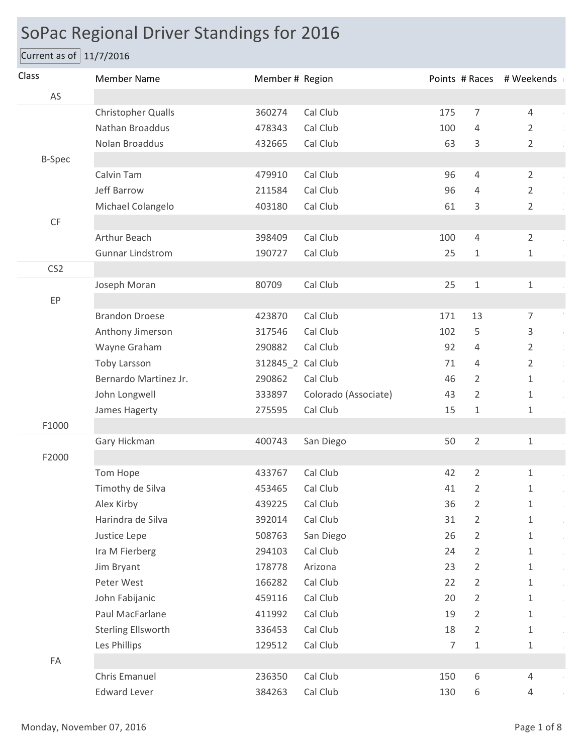## SoPac Regional Driver Standings for 2016

## Current as of 11/7/2016

| Class           | <b>Member Name</b>        | Member # Region   |                      |                |                | Points # Races # Weekends                   |
|-----------------|---------------------------|-------------------|----------------------|----------------|----------------|---------------------------------------------|
| AS              |                           |                   |                      |                |                |                                             |
|                 | Christopher Qualls        | 360274            | Cal Club             | 175            | 7              | $\overline{4}$                              |
|                 | Nathan Broaddus           | 478343            | Cal Club             | 100            | $\overline{4}$ | $\overline{2}$                              |
|                 | Nolan Broaddus            | 432665            | Cal Club             | 63             | 3              | $\overline{2}$                              |
| <b>B-Spec</b>   |                           |                   |                      |                |                |                                             |
|                 | Calvin Tam                | 479910            | Cal Club             | 96             | $\overline{4}$ | $\overline{2}$                              |
|                 | Jeff Barrow               | 211584            | Cal Club             | 96             | 4              | 2                                           |
|                 | Michael Colangelo         | 403180            | Cal Club             | 61             | 3              | $\overline{2}$                              |
| $\mathsf{CF}$   |                           |                   |                      |                |                |                                             |
|                 | Arthur Beach              | 398409            | Cal Club             | 100            | $\overline{4}$ | $\overline{2}$                              |
|                 | <b>Gunnar Lindstrom</b>   | 190727            | Cal Club             | 25             | $\mathbf{1}$   | 1                                           |
| CS <sub>2</sub> |                           |                   |                      |                |                |                                             |
|                 | Joseph Moran              | 80709             | Cal Club             | 25             | $1\,$          | $\mathbf{1}$                                |
| EP              |                           |                   |                      |                |                |                                             |
|                 | <b>Brandon Droese</b>     | 423870            | Cal Club             | 171            | 13             | $\overline{7}$                              |
|                 | Anthony Jimerson          | 317546            | Cal Club             | 102            | 5              | 3<br>÷.                                     |
|                 | Wayne Graham              | 290882            | Cal Club             | 92             | 4              | $\overline{2}$<br>$\frac{1}{2}$             |
|                 | <b>Toby Larsson</b>       | 312845_2 Cal Club |                      | 71             | 4              | $\overline{2}$<br>$\frac{1}{\epsilon}$      |
|                 | Bernardo Martinez Jr.     | 290862            | Cal Club             | 46             | $\overline{2}$ | $\mathbf{1}$<br>$\hat{\boldsymbol{\theta}}$ |
|                 | John Longwell             | 333897            | Colorado (Associate) | 43             | $\overline{2}$ | $\mathbf{1}$                                |
|                 | James Hagerty             | 275595            | Cal Club             | 15             | 1              | 1                                           |
| F1000           |                           |                   |                      |                |                |                                             |
|                 | Gary Hickman              | 400743            | San Diego            | 50             | $\overline{2}$ | $\mathbf{1}$                                |
| F2000           |                           |                   |                      |                |                |                                             |
|                 | Tom Hope                  | 433767            | Cal Club             | 42             | $\overline{2}$ | $\mathbf{1}$                                |
|                 | Timothy de Silva          | 453465            | Cal Club             | 41             | $\overline{2}$ | 1                                           |
|                 | Alex Kirby                | 439225            | Cal Club             | 36             | $\overline{2}$ | $\mathbf 1$                                 |
|                 | Harindra de Silva         | 392014            | Cal Club             | 31             | $\overline{2}$ | $\mathbf{1}$                                |
|                 | Justice Lepe              | 508763            | San Diego            | 26             | 2              | $\mathbf{1}$                                |
|                 | Ira M Fierberg            | 294103            | Cal Club             | 24             | $\overline{2}$ | $\mathbf{1}$                                |
|                 | Jim Bryant                | 178778            | Arizona              | 23             | 2              | $\mathbf{1}$                                |
|                 | Peter West                | 166282            | Cal Club             | 22             | $\overline{2}$ | $\mathbf{1}$                                |
|                 | John Fabijanic            | 459116            | Cal Club             | 20             | 2              | $\mathbf{1}$                                |
|                 | Paul MacFarlane           | 411992            | Cal Club             | 19             | $\overline{2}$ | $\mathbf{1}$                                |
|                 | <b>Sterling Ellsworth</b> | 336453            | Cal Club             | 18             | $\overline{2}$ | $\mathbf{1}$                                |
|                 | Les Phillips              | 129512            | Cal Club             | $\overline{7}$ | $\mathbf 1$    | $\mathbf{1}$                                |
| FA              |                           |                   |                      |                |                |                                             |
|                 | Chris Emanuel             | 236350            | Cal Club             | 150            | 6              | 4                                           |
|                 | <b>Edward Lever</b>       | 384263            | Cal Club             | 130            | 6              | $\overline{4}$                              |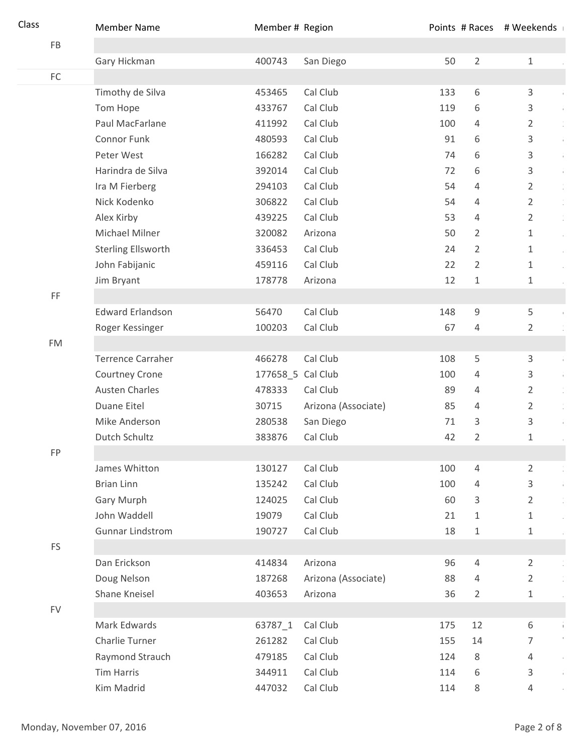| FB<br>Gary Hickman<br>400743<br>San Diego<br>50<br>$\overline{2}$<br>$\mathbf{1}$<br>$\mathsf{FC}$<br>Cal Club<br>6<br>Timothy de Silva<br>133<br>3<br>453465<br>$\bar{1}$<br>Cal Club<br>Tom Hope<br>433767<br>6<br>3<br>119<br>$\bar{1}$<br>Paul MacFarlane<br>Cal Club<br>411992<br>100<br>4<br>2<br>$\frac{1}{2}$<br>Connor Funk<br>Cal Club<br>91<br>6<br>3<br>480593<br>Ŷ,<br>Peter West<br>166282<br>Cal Club<br>74<br>6<br>3<br>Ĵ.<br>Cal Club<br>Harindra de Silva<br>392014<br>72<br>6<br>3<br>j.<br>Cal Club<br>Ira M Fierberg<br>54<br>$\overline{2}$<br>294103<br>4<br>$\frac{1}{2}$<br>Nick Kodenko<br>306822<br>Cal Club<br>54<br>$\overline{2}$<br>$\frac{1}{2}$<br>4<br>Alex Kirby<br>439225<br>Cal Club<br>53<br>$\overline{2}$<br>4<br>$\frac{1}{2}$<br>Michael Milner<br>320082<br>Arizona<br>50<br>2<br>1<br>$\hat{\boldsymbol{\theta}}$<br><b>Sterling Ellsworth</b><br>336453<br>Cal Club<br>$\overline{2}$<br>24<br>$\mathbf{1}$<br>$\hat{\boldsymbol{\theta}}$<br>Cal Club<br>2<br>John Fabijanic<br>459116<br>22<br>$\mathbf{1}$<br>12<br>Jim Bryant<br>178778<br>Arizona<br>$\mathbf{1}$<br>$\mathbf{1}$<br>$\mathsf{FF}% _{0}$<br>Cal Club<br><b>Edward Erlandson</b><br>56470<br>148<br>9<br>5<br>$\bar{\phantom{a}}$<br>Cal Club<br>$\overline{2}$<br>100203<br>67<br>Roger Kessinger<br>4<br><b>FM</b><br><b>Terrence Carraher</b><br>466278<br>Cal Club<br>5<br>3<br>108<br>Ŷ,<br>177658_5 Cal Club<br><b>Courtney Crone</b><br>100<br>3<br>4<br>j.<br><b>Austen Charles</b><br>478333<br>Cal Club<br>$\overline{2}$<br>89<br>4<br>$\frac{1}{2}$<br>Duane Eitel<br>Arizona (Associate)<br>$\overline{2}$<br>30715<br>85<br>4<br>$\frac{1}{2}$<br>Mike Anderson<br>3<br>3<br>280538<br>San Diego<br>71<br>÷,<br>Dutch Schultz<br>Cal Club<br>$\overline{2}$<br>383876<br>42<br>1<br>FP<br>Cal Club<br>James Whitton<br>130127<br>100<br>$\overline{2}$<br>4<br><b>Brian Linn</b><br>Cal Club<br>135242<br>100<br>$\overline{4}$<br>3<br>Ŷ.<br>Cal Club<br><b>Gary Murph</b><br>124025<br>60<br>3<br>$\overline{2}$<br>$\frac{1}{2}$<br>John Waddell<br>Cal Club<br>19079<br>21<br>1<br>$\mathbf{1}$<br>$\ddot{\phantom{0}}$<br>Cal Club<br><b>Gunnar Lindstrom</b><br>190727<br>18<br>$1\,$<br>$\mathbf{1}$<br>FS<br>Dan Erickson<br>Arizona<br>$\overline{2}$<br>414834<br>96<br>4<br>$\frac{1}{2}$<br>Doug Nelson<br>187268<br>Arizona (Associate)<br>88<br>$\overline{2}$<br>4<br>Shane Kneisel<br>403653<br>36<br>$\overline{2}$<br>Arizona<br>$\mathbf{1}$<br><b>FV</b> | Class | <b>Member Name</b> | Member # Region |          |     |    | Points # Races # Weekends |  |
|-------------------------------------------------------------------------------------------------------------------------------------------------------------------------------------------------------------------------------------------------------------------------------------------------------------------------------------------------------------------------------------------------------------------------------------------------------------------------------------------------------------------------------------------------------------------------------------------------------------------------------------------------------------------------------------------------------------------------------------------------------------------------------------------------------------------------------------------------------------------------------------------------------------------------------------------------------------------------------------------------------------------------------------------------------------------------------------------------------------------------------------------------------------------------------------------------------------------------------------------------------------------------------------------------------------------------------------------------------------------------------------------------------------------------------------------------------------------------------------------------------------------------------------------------------------------------------------------------------------------------------------------------------------------------------------------------------------------------------------------------------------------------------------------------------------------------------------------------------------------------------------------------------------------------------------------------------------------------------------------------------------------------------------------------------------------------------------------------------------------------------------------------------------------------------------------------------------------------------------------------------------------------------------------------------------------------------------------------------------------------------------------------------------------------------------------------------------------------------------------------------------|-------|--------------------|-----------------|----------|-----|----|---------------------------|--|
|                                                                                                                                                                                                                                                                                                                                                                                                                                                                                                                                                                                                                                                                                                                                                                                                                                                                                                                                                                                                                                                                                                                                                                                                                                                                                                                                                                                                                                                                                                                                                                                                                                                                                                                                                                                                                                                                                                                                                                                                                                                                                                                                                                                                                                                                                                                                                                                                                                                                                                             |       |                    |                 |          |     |    |                           |  |
|                                                                                                                                                                                                                                                                                                                                                                                                                                                                                                                                                                                                                                                                                                                                                                                                                                                                                                                                                                                                                                                                                                                                                                                                                                                                                                                                                                                                                                                                                                                                                                                                                                                                                                                                                                                                                                                                                                                                                                                                                                                                                                                                                                                                                                                                                                                                                                                                                                                                                                             |       |                    |                 |          |     |    |                           |  |
|                                                                                                                                                                                                                                                                                                                                                                                                                                                                                                                                                                                                                                                                                                                                                                                                                                                                                                                                                                                                                                                                                                                                                                                                                                                                                                                                                                                                                                                                                                                                                                                                                                                                                                                                                                                                                                                                                                                                                                                                                                                                                                                                                                                                                                                                                                                                                                                                                                                                                                             |       |                    |                 |          |     |    |                           |  |
|                                                                                                                                                                                                                                                                                                                                                                                                                                                                                                                                                                                                                                                                                                                                                                                                                                                                                                                                                                                                                                                                                                                                                                                                                                                                                                                                                                                                                                                                                                                                                                                                                                                                                                                                                                                                                                                                                                                                                                                                                                                                                                                                                                                                                                                                                                                                                                                                                                                                                                             |       |                    |                 |          |     |    |                           |  |
|                                                                                                                                                                                                                                                                                                                                                                                                                                                                                                                                                                                                                                                                                                                                                                                                                                                                                                                                                                                                                                                                                                                                                                                                                                                                                                                                                                                                                                                                                                                                                                                                                                                                                                                                                                                                                                                                                                                                                                                                                                                                                                                                                                                                                                                                                                                                                                                                                                                                                                             |       |                    |                 |          |     |    |                           |  |
|                                                                                                                                                                                                                                                                                                                                                                                                                                                                                                                                                                                                                                                                                                                                                                                                                                                                                                                                                                                                                                                                                                                                                                                                                                                                                                                                                                                                                                                                                                                                                                                                                                                                                                                                                                                                                                                                                                                                                                                                                                                                                                                                                                                                                                                                                                                                                                                                                                                                                                             |       |                    |                 |          |     |    |                           |  |
|                                                                                                                                                                                                                                                                                                                                                                                                                                                                                                                                                                                                                                                                                                                                                                                                                                                                                                                                                                                                                                                                                                                                                                                                                                                                                                                                                                                                                                                                                                                                                                                                                                                                                                                                                                                                                                                                                                                                                                                                                                                                                                                                                                                                                                                                                                                                                                                                                                                                                                             |       |                    |                 |          |     |    |                           |  |
|                                                                                                                                                                                                                                                                                                                                                                                                                                                                                                                                                                                                                                                                                                                                                                                                                                                                                                                                                                                                                                                                                                                                                                                                                                                                                                                                                                                                                                                                                                                                                                                                                                                                                                                                                                                                                                                                                                                                                                                                                                                                                                                                                                                                                                                                                                                                                                                                                                                                                                             |       |                    |                 |          |     |    |                           |  |
|                                                                                                                                                                                                                                                                                                                                                                                                                                                                                                                                                                                                                                                                                                                                                                                                                                                                                                                                                                                                                                                                                                                                                                                                                                                                                                                                                                                                                                                                                                                                                                                                                                                                                                                                                                                                                                                                                                                                                                                                                                                                                                                                                                                                                                                                                                                                                                                                                                                                                                             |       |                    |                 |          |     |    |                           |  |
|                                                                                                                                                                                                                                                                                                                                                                                                                                                                                                                                                                                                                                                                                                                                                                                                                                                                                                                                                                                                                                                                                                                                                                                                                                                                                                                                                                                                                                                                                                                                                                                                                                                                                                                                                                                                                                                                                                                                                                                                                                                                                                                                                                                                                                                                                                                                                                                                                                                                                                             |       |                    |                 |          |     |    |                           |  |
|                                                                                                                                                                                                                                                                                                                                                                                                                                                                                                                                                                                                                                                                                                                                                                                                                                                                                                                                                                                                                                                                                                                                                                                                                                                                                                                                                                                                                                                                                                                                                                                                                                                                                                                                                                                                                                                                                                                                                                                                                                                                                                                                                                                                                                                                                                                                                                                                                                                                                                             |       |                    |                 |          |     |    |                           |  |
|                                                                                                                                                                                                                                                                                                                                                                                                                                                                                                                                                                                                                                                                                                                                                                                                                                                                                                                                                                                                                                                                                                                                                                                                                                                                                                                                                                                                                                                                                                                                                                                                                                                                                                                                                                                                                                                                                                                                                                                                                                                                                                                                                                                                                                                                                                                                                                                                                                                                                                             |       |                    |                 |          |     |    |                           |  |
|                                                                                                                                                                                                                                                                                                                                                                                                                                                                                                                                                                                                                                                                                                                                                                                                                                                                                                                                                                                                                                                                                                                                                                                                                                                                                                                                                                                                                                                                                                                                                                                                                                                                                                                                                                                                                                                                                                                                                                                                                                                                                                                                                                                                                                                                                                                                                                                                                                                                                                             |       |                    |                 |          |     |    |                           |  |
|                                                                                                                                                                                                                                                                                                                                                                                                                                                                                                                                                                                                                                                                                                                                                                                                                                                                                                                                                                                                                                                                                                                                                                                                                                                                                                                                                                                                                                                                                                                                                                                                                                                                                                                                                                                                                                                                                                                                                                                                                                                                                                                                                                                                                                                                                                                                                                                                                                                                                                             |       |                    |                 |          |     |    |                           |  |
|                                                                                                                                                                                                                                                                                                                                                                                                                                                                                                                                                                                                                                                                                                                                                                                                                                                                                                                                                                                                                                                                                                                                                                                                                                                                                                                                                                                                                                                                                                                                                                                                                                                                                                                                                                                                                                                                                                                                                                                                                                                                                                                                                                                                                                                                                                                                                                                                                                                                                                             |       |                    |                 |          |     |    |                           |  |
|                                                                                                                                                                                                                                                                                                                                                                                                                                                                                                                                                                                                                                                                                                                                                                                                                                                                                                                                                                                                                                                                                                                                                                                                                                                                                                                                                                                                                                                                                                                                                                                                                                                                                                                                                                                                                                                                                                                                                                                                                                                                                                                                                                                                                                                                                                                                                                                                                                                                                                             |       |                    |                 |          |     |    |                           |  |
|                                                                                                                                                                                                                                                                                                                                                                                                                                                                                                                                                                                                                                                                                                                                                                                                                                                                                                                                                                                                                                                                                                                                                                                                                                                                                                                                                                                                                                                                                                                                                                                                                                                                                                                                                                                                                                                                                                                                                                                                                                                                                                                                                                                                                                                                                                                                                                                                                                                                                                             |       |                    |                 |          |     |    |                           |  |
|                                                                                                                                                                                                                                                                                                                                                                                                                                                                                                                                                                                                                                                                                                                                                                                                                                                                                                                                                                                                                                                                                                                                                                                                                                                                                                                                                                                                                                                                                                                                                                                                                                                                                                                                                                                                                                                                                                                                                                                                                                                                                                                                                                                                                                                                                                                                                                                                                                                                                                             |       |                    |                 |          |     |    |                           |  |
|                                                                                                                                                                                                                                                                                                                                                                                                                                                                                                                                                                                                                                                                                                                                                                                                                                                                                                                                                                                                                                                                                                                                                                                                                                                                                                                                                                                                                                                                                                                                                                                                                                                                                                                                                                                                                                                                                                                                                                                                                                                                                                                                                                                                                                                                                                                                                                                                                                                                                                             |       |                    |                 |          |     |    |                           |  |
|                                                                                                                                                                                                                                                                                                                                                                                                                                                                                                                                                                                                                                                                                                                                                                                                                                                                                                                                                                                                                                                                                                                                                                                                                                                                                                                                                                                                                                                                                                                                                                                                                                                                                                                                                                                                                                                                                                                                                                                                                                                                                                                                                                                                                                                                                                                                                                                                                                                                                                             |       |                    |                 |          |     |    |                           |  |
|                                                                                                                                                                                                                                                                                                                                                                                                                                                                                                                                                                                                                                                                                                                                                                                                                                                                                                                                                                                                                                                                                                                                                                                                                                                                                                                                                                                                                                                                                                                                                                                                                                                                                                                                                                                                                                                                                                                                                                                                                                                                                                                                                                                                                                                                                                                                                                                                                                                                                                             |       |                    |                 |          |     |    |                           |  |
|                                                                                                                                                                                                                                                                                                                                                                                                                                                                                                                                                                                                                                                                                                                                                                                                                                                                                                                                                                                                                                                                                                                                                                                                                                                                                                                                                                                                                                                                                                                                                                                                                                                                                                                                                                                                                                                                                                                                                                                                                                                                                                                                                                                                                                                                                                                                                                                                                                                                                                             |       |                    |                 |          |     |    |                           |  |
|                                                                                                                                                                                                                                                                                                                                                                                                                                                                                                                                                                                                                                                                                                                                                                                                                                                                                                                                                                                                                                                                                                                                                                                                                                                                                                                                                                                                                                                                                                                                                                                                                                                                                                                                                                                                                                                                                                                                                                                                                                                                                                                                                                                                                                                                                                                                                                                                                                                                                                             |       |                    |                 |          |     |    |                           |  |
|                                                                                                                                                                                                                                                                                                                                                                                                                                                                                                                                                                                                                                                                                                                                                                                                                                                                                                                                                                                                                                                                                                                                                                                                                                                                                                                                                                                                                                                                                                                                                                                                                                                                                                                                                                                                                                                                                                                                                                                                                                                                                                                                                                                                                                                                                                                                                                                                                                                                                                             |       |                    |                 |          |     |    |                           |  |
|                                                                                                                                                                                                                                                                                                                                                                                                                                                                                                                                                                                                                                                                                                                                                                                                                                                                                                                                                                                                                                                                                                                                                                                                                                                                                                                                                                                                                                                                                                                                                                                                                                                                                                                                                                                                                                                                                                                                                                                                                                                                                                                                                                                                                                                                                                                                                                                                                                                                                                             |       |                    |                 |          |     |    |                           |  |
|                                                                                                                                                                                                                                                                                                                                                                                                                                                                                                                                                                                                                                                                                                                                                                                                                                                                                                                                                                                                                                                                                                                                                                                                                                                                                                                                                                                                                                                                                                                                                                                                                                                                                                                                                                                                                                                                                                                                                                                                                                                                                                                                                                                                                                                                                                                                                                                                                                                                                                             |       |                    |                 |          |     |    |                           |  |
|                                                                                                                                                                                                                                                                                                                                                                                                                                                                                                                                                                                                                                                                                                                                                                                                                                                                                                                                                                                                                                                                                                                                                                                                                                                                                                                                                                                                                                                                                                                                                                                                                                                                                                                                                                                                                                                                                                                                                                                                                                                                                                                                                                                                                                                                                                                                                                                                                                                                                                             |       |                    |                 |          |     |    |                           |  |
|                                                                                                                                                                                                                                                                                                                                                                                                                                                                                                                                                                                                                                                                                                                                                                                                                                                                                                                                                                                                                                                                                                                                                                                                                                                                                                                                                                                                                                                                                                                                                                                                                                                                                                                                                                                                                                                                                                                                                                                                                                                                                                                                                                                                                                                                                                                                                                                                                                                                                                             |       |                    |                 |          |     |    |                           |  |
|                                                                                                                                                                                                                                                                                                                                                                                                                                                                                                                                                                                                                                                                                                                                                                                                                                                                                                                                                                                                                                                                                                                                                                                                                                                                                                                                                                                                                                                                                                                                                                                                                                                                                                                                                                                                                                                                                                                                                                                                                                                                                                                                                                                                                                                                                                                                                                                                                                                                                                             |       |                    |                 |          |     |    |                           |  |
|                                                                                                                                                                                                                                                                                                                                                                                                                                                                                                                                                                                                                                                                                                                                                                                                                                                                                                                                                                                                                                                                                                                                                                                                                                                                                                                                                                                                                                                                                                                                                                                                                                                                                                                                                                                                                                                                                                                                                                                                                                                                                                                                                                                                                                                                                                                                                                                                                                                                                                             |       |                    |                 |          |     |    |                           |  |
|                                                                                                                                                                                                                                                                                                                                                                                                                                                                                                                                                                                                                                                                                                                                                                                                                                                                                                                                                                                                                                                                                                                                                                                                                                                                                                                                                                                                                                                                                                                                                                                                                                                                                                                                                                                                                                                                                                                                                                                                                                                                                                                                                                                                                                                                                                                                                                                                                                                                                                             |       |                    |                 |          |     |    |                           |  |
|                                                                                                                                                                                                                                                                                                                                                                                                                                                                                                                                                                                                                                                                                                                                                                                                                                                                                                                                                                                                                                                                                                                                                                                                                                                                                                                                                                                                                                                                                                                                                                                                                                                                                                                                                                                                                                                                                                                                                                                                                                                                                                                                                                                                                                                                                                                                                                                                                                                                                                             |       |                    |                 |          |     |    |                           |  |
|                                                                                                                                                                                                                                                                                                                                                                                                                                                                                                                                                                                                                                                                                                                                                                                                                                                                                                                                                                                                                                                                                                                                                                                                                                                                                                                                                                                                                                                                                                                                                                                                                                                                                                                                                                                                                                                                                                                                                                                                                                                                                                                                                                                                                                                                                                                                                                                                                                                                                                             |       |                    |                 |          |     |    |                           |  |
|                                                                                                                                                                                                                                                                                                                                                                                                                                                                                                                                                                                                                                                                                                                                                                                                                                                                                                                                                                                                                                                                                                                                                                                                                                                                                                                                                                                                                                                                                                                                                                                                                                                                                                                                                                                                                                                                                                                                                                                                                                                                                                                                                                                                                                                                                                                                                                                                                                                                                                             |       |                    |                 |          |     |    |                           |  |
|                                                                                                                                                                                                                                                                                                                                                                                                                                                                                                                                                                                                                                                                                                                                                                                                                                                                                                                                                                                                                                                                                                                                                                                                                                                                                                                                                                                                                                                                                                                                                                                                                                                                                                                                                                                                                                                                                                                                                                                                                                                                                                                                                                                                                                                                                                                                                                                                                                                                                                             |       |                    |                 |          |     |    |                           |  |
|                                                                                                                                                                                                                                                                                                                                                                                                                                                                                                                                                                                                                                                                                                                                                                                                                                                                                                                                                                                                                                                                                                                                                                                                                                                                                                                                                                                                                                                                                                                                                                                                                                                                                                                                                                                                                                                                                                                                                                                                                                                                                                                                                                                                                                                                                                                                                                                                                                                                                                             |       |                    |                 |          |     |    |                           |  |
|                                                                                                                                                                                                                                                                                                                                                                                                                                                                                                                                                                                                                                                                                                                                                                                                                                                                                                                                                                                                                                                                                                                                                                                                                                                                                                                                                                                                                                                                                                                                                                                                                                                                                                                                                                                                                                                                                                                                                                                                                                                                                                                                                                                                                                                                                                                                                                                                                                                                                                             |       |                    |                 |          |     |    |                           |  |
| $\mathbf I$                                                                                                                                                                                                                                                                                                                                                                                                                                                                                                                                                                                                                                                                                                                                                                                                                                                                                                                                                                                                                                                                                                                                                                                                                                                                                                                                                                                                                                                                                                                                                                                                                                                                                                                                                                                                                                                                                                                                                                                                                                                                                                                                                                                                                                                                                                                                                                                                                                                                                                 |       | Mark Edwards       | 63787_1         | Cal Club | 175 | 12 | 6                         |  |
| $\bar{1}$<br>Charlie Turner<br>Cal Club<br>261282<br>$\overline{7}$<br>155<br>14                                                                                                                                                                                                                                                                                                                                                                                                                                                                                                                                                                                                                                                                                                                                                                                                                                                                                                                                                                                                                                                                                                                                                                                                                                                                                                                                                                                                                                                                                                                                                                                                                                                                                                                                                                                                                                                                                                                                                                                                                                                                                                                                                                                                                                                                                                                                                                                                                            |       |                    |                 |          |     |    |                           |  |
| Raymond Strauch<br>Cal Club<br>$\,8\,$<br>479185<br>124<br>4<br>$\ddot{\phantom{1}}$                                                                                                                                                                                                                                                                                                                                                                                                                                                                                                                                                                                                                                                                                                                                                                                                                                                                                                                                                                                                                                                                                                                                                                                                                                                                                                                                                                                                                                                                                                                                                                                                                                                                                                                                                                                                                                                                                                                                                                                                                                                                                                                                                                                                                                                                                                                                                                                                                        |       |                    |                 |          |     |    |                           |  |
| <b>Tim Harris</b><br>Cal Club<br>344911<br>114<br>6<br>3<br>Ŷ.                                                                                                                                                                                                                                                                                                                                                                                                                                                                                                                                                                                                                                                                                                                                                                                                                                                                                                                                                                                                                                                                                                                                                                                                                                                                                                                                                                                                                                                                                                                                                                                                                                                                                                                                                                                                                                                                                                                                                                                                                                                                                                                                                                                                                                                                                                                                                                                                                                              |       |                    |                 |          |     |    |                           |  |
| Kim Madrid<br>Cal Club<br>447032<br>8<br>114<br>$\overline{4}$                                                                                                                                                                                                                                                                                                                                                                                                                                                                                                                                                                                                                                                                                                                                                                                                                                                                                                                                                                                                                                                                                                                                                                                                                                                                                                                                                                                                                                                                                                                                                                                                                                                                                                                                                                                                                                                                                                                                                                                                                                                                                                                                                                                                                                                                                                                                                                                                                                              |       |                    |                 |          |     |    |                           |  |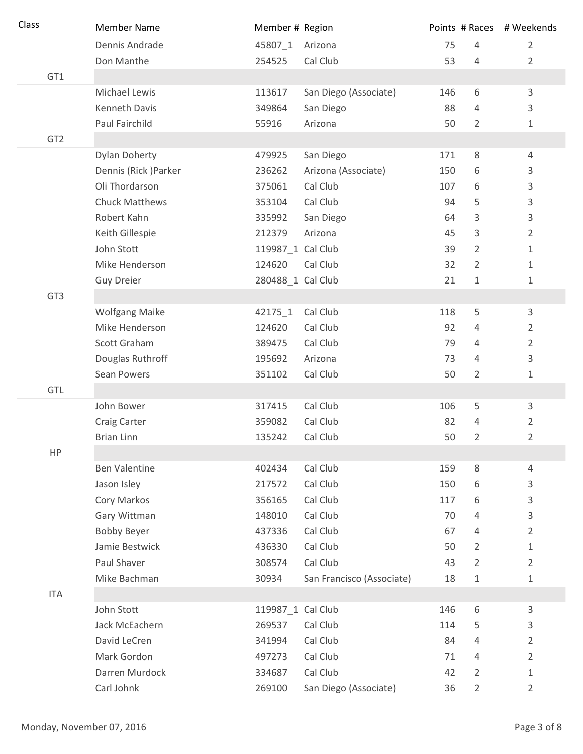| Class           | <b>Member Name</b>    | Member # Region   |                           |     | Points # Races | # Weekends                             |
|-----------------|-----------------------|-------------------|---------------------------|-----|----------------|----------------------------------------|
|                 | Dennis Andrade        | 45807_1           | Arizona                   | 75  | 4              | $\overline{2}$                         |
|                 | Don Manthe            | 254525            | Cal Club                  | 53  | $\overline{4}$ | $\overline{2}$                         |
| GT1             |                       |                   |                           |     |                |                                        |
|                 | Michael Lewis         | 113617            | San Diego (Associate)     | 146 | 6              | 3<br>÷.                                |
|                 | Kenneth Davis         | 349864            | San Diego                 | 88  | $\overline{4}$ | 3                                      |
|                 | Paul Fairchild        | 55916             | Arizona                   | 50  | $\overline{2}$ | $\mathbf{1}$                           |
| GT <sub>2</sub> |                       |                   |                           |     |                |                                        |
|                 | <b>Dylan Doherty</b>  | 479925            | San Diego                 | 171 | $\,8\,$        | $\overline{4}$                         |
|                 | Dennis (Rick) Parker  | 236262            | Arizona (Associate)       | 150 | 6              | 3<br>Ŷ,                                |
|                 | Oli Thordarson        | 375061            | Cal Club                  | 107 | 6              | 3<br>Ŷ,                                |
|                 | <b>Chuck Matthews</b> | 353104            | Cal Club                  | 94  | 5              | 3<br>÷,                                |
|                 | Robert Kahn           | 335992            | San Diego                 | 64  | 3              | 3<br>Ŷ,                                |
|                 | Keith Gillespie       | 212379            | Arizona                   | 45  | 3              | $\frac{1}{\epsilon}$<br>$\overline{2}$ |
|                 | John Stott            | 119987_1 Cal Club |                           | 39  | $\overline{2}$ | $\mathbf{1}$<br>$\alpha$               |
|                 | Mike Henderson        | 124620            | Cal Club                  | 32  | $\overline{2}$ | $\mathbf{1}$                           |
|                 | <b>Guy Dreier</b>     | 280488_1 Cal Club |                           | 21  | 1              | $\mathbf{1}$                           |
| GT <sub>3</sub> |                       |                   |                           |     |                |                                        |
|                 | <b>Wolfgang Maike</b> | 42175_1           | Cal Club                  | 118 | 5              | 3<br>÷.                                |
|                 | Mike Henderson        | 124620            | Cal Club                  | 92  | $\overline{4}$ | $\overline{2}$                         |
|                 | Scott Graham          | 389475            | Cal Club                  | 79  | $\overline{4}$ | $\overline{2}$<br>$\frac{1}{2}$        |
|                 | Douglas Ruthroff      | 195692            | Arizona                   | 73  | $\overline{4}$ | 3<br>÷.                                |
|                 | Sean Powers           | 351102            | Cal Club                  | 50  | $\overline{2}$ | $\mathbf{1}$                           |
| GTL             |                       |                   |                           |     |                |                                        |
|                 | John Bower            | 317415            | Cal Club                  | 106 | 5              | 3<br>÷.                                |
|                 | <b>Craig Carter</b>   | 359082            | Cal Club                  | 82  | 4              | $\overline{2}$                         |
|                 | <b>Brian Linn</b>     | 135242            | Cal Club                  | 50  | $\overline{2}$ | $\overline{2}$<br>$\frac{1}{2}$        |
| HP              |                       |                   |                           |     |                |                                        |
|                 | <b>Ben Valentine</b>  | 402434            | Cal Club                  | 159 | $\,8\,$        | $\overline{4}$                         |
|                 | Jason Isley           | 217572            | Cal Club                  | 150 | 6              | 3<br>÷.                                |
|                 | Cory Markos           | 356165            | Cal Club                  | 117 | 6              | 3<br>÷.                                |
|                 | Gary Wittman          | 148010            | Cal Club                  | 70  | $\overline{4}$ | 3<br>÷.                                |
|                 | <b>Bobby Beyer</b>    | 437336            | Cal Club                  | 67  | $\overline{4}$ | $\overline{2}$                         |
|                 | Jamie Bestwick        | 436330            | Cal Club                  | 50  | $\overline{2}$ | $\mathbf{1}$<br>$\alpha$               |
|                 | Paul Shaver           | 308574            | Cal Club                  | 43  | $\overline{2}$ | $\overline{2}$<br>$\frac{1}{\epsilon}$ |
|                 | Mike Bachman          | 30934             | San Francisco (Associate) | 18  | $\mathbf{1}$   | $\mathbf{1}$                           |
| <b>ITA</b>      |                       |                   |                           |     |                |                                        |
|                 | John Stott            | 119987_1 Cal Club |                           | 146 | 6              | 3<br>Ŷ.                                |
|                 | Jack McEachern        | 269537            | Cal Club                  | 114 | 5              | 3<br>÷.                                |
|                 | David LeCren          | 341994            | Cal Club                  | 84  | $\overline{4}$ | $\overline{2}$                         |
|                 | Mark Gordon           | 497273            | Cal Club                  | 71  | $\overline{4}$ | $\overline{2}$                         |
|                 | Darren Murdock        | 334687            | Cal Club                  | 42  | $\overline{2}$ | $\mathbf{1}$<br>$\alpha$               |
|                 | Carl Johnk            | 269100            | San Diego (Associate)     | 36  | $\overline{2}$ | $\overline{2}$                         |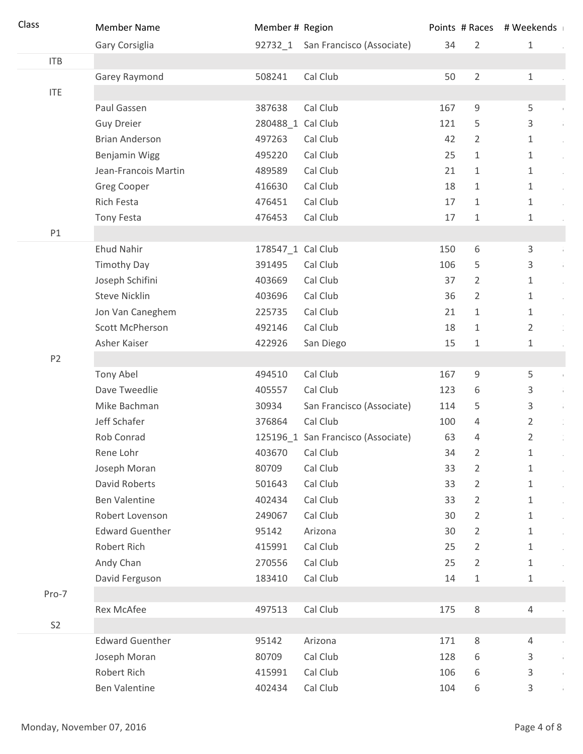| Class          | <b>Member Name</b>     | Member # Region   |                                    |     |                | Points # Races # Weekends |
|----------------|------------------------|-------------------|------------------------------------|-----|----------------|---------------------------|
|                | Gary Corsiglia         |                   | 92732_1 San Francisco (Associate)  | 34  | $\overline{2}$ | $\mathbf{1}$              |
| ITB            |                        |                   |                                    |     |                |                           |
|                | Garey Raymond          | 508241            | Cal Club                           | 50  | $\overline{2}$ | $\mathbf{1}$              |
| <b>ITE</b>     |                        |                   |                                    |     |                |                           |
|                | Paul Gassen            | 387638            | Cal Club                           | 167 | 9              | 5                         |
|                | <b>Guy Dreier</b>      | 280488_1 Cal Club |                                    | 121 | 5              | 3<br>÷.                   |
|                | <b>Brian Anderson</b>  | 497263            | Cal Club                           | 42  | 2              | $\mathbf{1}$<br>$\sim$    |
|                | Benjamin Wigg          | 495220            | Cal Club                           | 25  | 1              | $\mathbf{1}$<br>$\alpha$  |
|                | Jean-Francois Martin   | 489589            | Cal Club                           | 21  | 1              | 1<br>$\alpha$             |
|                | <b>Greg Cooper</b>     | 416630            | Cal Club                           | 18  | 1              | $\mathbf{1}$              |
|                | Rich Festa             | 476451            | Cal Club                           | 17  | 1              | $\mathbf{1}$              |
|                | Tony Festa             | 476453            | Cal Club                           | 17  | 1              | $\mathbf{1}$              |
| P1             |                        |                   |                                    |     |                |                           |
|                | <b>Ehud Nahir</b>      | 178547_1 Cal Club |                                    | 150 | 6              | 3<br>Ŷ.                   |
|                | <b>Timothy Day</b>     | 391495            | Cal Club                           | 106 | 5              | 3<br>$\frac{1}{4}$        |
|                | Joseph Schifini        | 403669            | Cal Club                           | 37  | $\overline{2}$ | $\mathbf{1}$<br>$\alpha$  |
|                | <b>Steve Nicklin</b>   | 403696            | Cal Club                           | 36  | 2              | $\mathbf{1}$<br>$\alpha$  |
|                | Jon Van Caneghem       | 225735            | Cal Club                           | 21  | 1              | $\mathbf{1}$<br>$\sim$    |
|                | Scott McPherson        | 492146            | Cal Club                           | 18  | 1              | $\overline{2}$            |
|                | Asher Kaiser           | 422926            | San Diego                          | 15  | $\mathbf 1$    | $\mathbf{1}$              |
| P <sub>2</sub> |                        |                   |                                    |     |                |                           |
|                | Tony Abel              | 494510            | Cal Club                           | 167 | 9              | 5<br>$\mathbb{F}$         |
|                | Dave Tweedlie          | 405557            | Cal Club                           | 123 | 6              | 3<br>$\mathbf{r}$         |
|                | Mike Bachman           | 30934             | San Francisco (Associate)          | 114 | 5              | 3<br>÷.                   |
|                | Jeff Schafer           | 376864            | Cal Club                           | 100 | $\overline{4}$ | $\overline{2}$            |
|                | Rob Conrad             |                   | 125196_1 San Francisco (Associate) | 63  | 4              | 2<br>$\frac{1}{\epsilon}$ |
|                | Rene Lohr              | 403670            | Cal Club                           | 34  | $\overline{2}$ | $\mathbf{1}$              |
|                | Joseph Moran           | 80709             | Cal Club                           | 33  | $\overline{2}$ | $\mathbf{1}$              |
|                | David Roberts          | 501643            | Cal Club                           | 33  | 2              | 1                         |
|                | <b>Ben Valentine</b>   | 402434            | Cal Club                           | 33  | 2              | 1                         |
|                | Robert Lovenson        | 249067            | Cal Club                           | 30  | 2              | $\mathbf{1}$              |
|                | <b>Edward Guenther</b> | 95142             | Arizona                            | 30  | $\overline{2}$ | $\mathbf{1}$              |
|                | Robert Rich            | 415991            | Cal Club                           | 25  | 2              | $\mathbf{1}$              |
|                | Andy Chan              | 270556            | Cal Club                           | 25  | $\overline{2}$ | $\mathbf{1}$              |
|                | David Ferguson         | 183410            | Cal Club                           | 14  | 1              | $\mathbf{1}$              |
| Pro-7          |                        |                   |                                    |     |                |                           |
|                | <b>Rex McAfee</b>      | 497513            | Cal Club                           | 175 | $\,8\,$        | 4                         |
| S <sub>2</sub> |                        |                   |                                    |     |                |                           |
|                | <b>Edward Guenther</b> | 95142             | Arizona                            | 171 | $\,8\,$        | $\overline{4}$            |
|                | Joseph Moran           | 80709             | Cal Club                           | 128 | 6              | 3<br>Ŷ.                   |
|                | Robert Rich            | 415991            | Cal Club                           | 106 | 6              | 3<br>÷.                   |
|                | <b>Ben Valentine</b>   | 402434            | Cal Club                           | 104 | 6              | 3                         |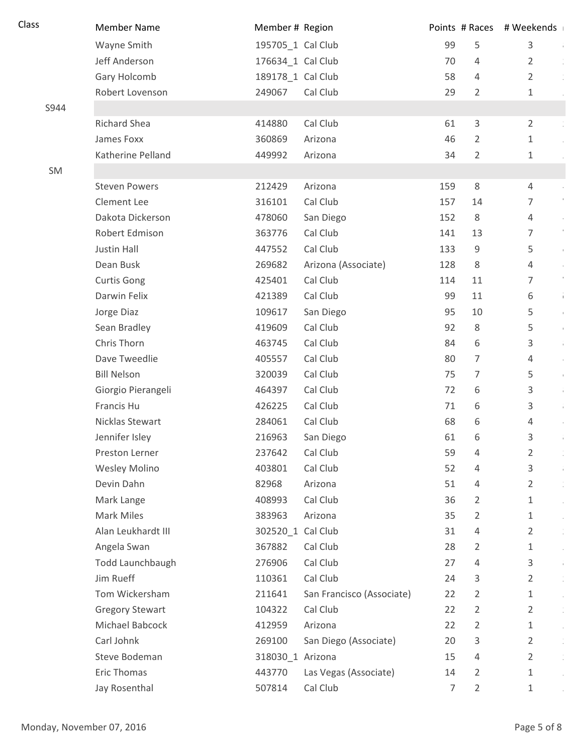| Class | <b>Member Name</b>     | Member # Region   |                           |     |                | Points # Races # Weekends       |
|-------|------------------------|-------------------|---------------------------|-----|----------------|---------------------------------|
|       | Wayne Smith            | 195705_1 Cal Club |                           | 99  | 5              | $\mathsf{3}$<br>÷.              |
|       | Jeff Anderson          | 176634_1 Cal Club |                           | 70  | 4              | 2                               |
|       | Gary Holcomb           | 189178_1 Cal Club |                           | 58  | 4              | $\overline{2}$                  |
|       | Robert Lovenson        | 249067            | Cal Club                  | 29  | $\overline{2}$ | 1                               |
| S944  |                        |                   |                           |     |                |                                 |
|       | Richard Shea           | 414880            | Cal Club                  | 61  | $\mathbf{3}$   | $\overline{2}$                  |
|       | James Foxx             | 360869            | Arizona                   | 46  | $\overline{2}$ | 1                               |
|       | Katherine Pelland      | 449992            | Arizona                   | 34  | $\overline{2}$ | $\mathbf 1$                     |
| SM    |                        |                   |                           |     |                |                                 |
|       | <b>Steven Powers</b>   | 212429            | Arizona                   | 159 | 8              | 4                               |
|       | Clement Lee            | 316101            | Cal Club                  | 157 | 14             | $\overline{7}$                  |
|       | Dakota Dickerson       | 478060            | San Diego                 | 152 | 8              | $\overline{4}$<br>$\alpha$      |
|       | Robert Edmison         | 363776            | Cal Club                  | 141 | 13             | $\overline{7}$                  |
|       | Justin Hall            | 447552            | Cal Club                  | 133 | $9\,$          | 5<br>$\mathbf{I}$               |
|       | Dean Busk              | 269682            | Arizona (Associate)       | 128 | 8              | $\overline{4}$                  |
|       | <b>Curtis Gong</b>     | 425401            | Cal Club                  | 114 | 11             | $\mathbb{F}$<br>7               |
|       | Darwin Felix           | 421389            | Cal Club                  | 99  | 11             | 6<br>Ŷ.                         |
|       | Jorge Diaz             | 109617            | San Diego                 | 95  | 10             | 5<br>$\mathbb{F}$               |
|       | Sean Bradley           | 419609            | Cal Club                  | 92  | 8              | 5<br>$\mathbf{I}$               |
|       | Chris Thorn            | 463745            | Cal Club                  | 84  | 6              | 3<br>÷.                         |
|       | Dave Tweedlie          | 405557            | Cal Club                  | 80  | 7              | $\overline{4}$                  |
|       | <b>Bill Nelson</b>     | 320039            | Cal Club                  | 75  | $\overline{7}$ | 5<br>$\mathbb{F}$               |
|       | Giorgio Pierangeli     | 464397            | Cal Club                  | 72  | 6              | 3<br>÷.                         |
|       | Francis Hu             | 426225            | Cal Club                  | 71  | 6              | 3<br>÷.                         |
|       | Nicklas Stewart        | 284061            | Cal Club                  | 68  | 6              | $\overline{4}$                  |
|       | Jennifer Isley         | 216963            | San Diego                 | 61  | 6              | 3                               |
|       | Preston Lerner         | 237642            | Cal Club                  | 59  | 4              | $\overline{2}$                  |
|       | <b>Wesley Molino</b>   | 403801            | Cal Club                  | 52  | 4              | 3<br>Ŷ.                         |
|       | Devin Dahn             | 82968             | Arizona                   | 51  | 4              | 2                               |
|       | Mark Lange             | 408993            | Cal Club                  | 36  | $\overline{2}$ | 1                               |
|       | <b>Mark Miles</b>      | 383963            | Arizona                   | 35  | $\overline{2}$ | 1                               |
|       | Alan Leukhardt III     | 302520_1 Cal Club |                           | 31  | 4              | 2                               |
|       | Angela Swan            | 367882            | Cal Club                  | 28  | 2              | 1                               |
|       | Todd Launchbaugh       | 276906            | Cal Club                  | 27  | 4              | 3<br>$\mathfrak{g}$             |
|       | Jim Rueff              | 110361            | Cal Club                  | 24  | 3              | $\overline{2}$                  |
|       | Tom Wickersham         | 211641            | San Francisco (Associate) | 22  | 2              | 1                               |
|       | <b>Gregory Stewart</b> | 104322            | Cal Club                  | 22  | 2              | 2                               |
|       | Michael Babcock        | 412959            | Arizona                   | 22  | $\overline{2}$ | $\mathbf{1}$<br>$\sim$          |
|       | Carl Johnk             | 269100            | San Diego (Associate)     | 20  | 3              | $\overline{2}$<br>$\frac{1}{2}$ |
|       | Steve Bodeman          | 318030_1 Arizona  |                           | 15  | 4              | 2                               |
|       | Eric Thomas            | 443770            | Las Vegas (Associate)     | 14  | $\overline{2}$ | 1                               |
|       | Jay Rosenthal          | 507814            | Cal Club                  | 7   | $\overline{2}$ | $\mathbf{1}$                    |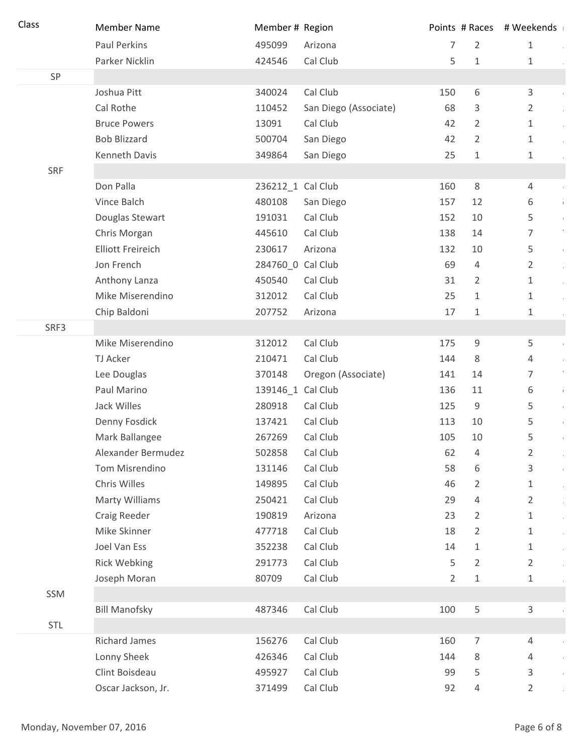| Class      | <b>Member Name</b>       | Member # Region   |                       |                | Points # Races | # Weekends        |
|------------|--------------------------|-------------------|-----------------------|----------------|----------------|-------------------|
|            | Paul Perkins             | 495099            | Arizona               | 7              | $\overline{2}$ | $\mathbf{1}$      |
|            | Parker Nicklin           | 424546            | Cal Club              | 5              | $\mathbf{1}$   | 1                 |
| SP         |                          |                   |                       |                |                |                   |
|            | Joshua Pitt              | 340024            | Cal Club              | 150            | 6              | 3                 |
|            | Cal Rothe                | 110452            | San Diego (Associate) | 68             | 3              | 2                 |
|            | <b>Bruce Powers</b>      | 13091             | Cal Club              | 42             | $\overline{2}$ | 1                 |
|            | <b>Bob Blizzard</b>      | 500704            | San Diego             | 42             | $\overline{2}$ | $\mathbf 1$       |
|            | Kenneth Davis            | 349864            | San Diego             | 25             | $1\,$          | $\mathbf 1$       |
| <b>SRF</b> |                          |                   |                       |                |                |                   |
|            | Don Palla                | 236212_1 Cal Club |                       | 160            | 8              | 4                 |
|            | Vince Balch              | 480108            | San Diego             | 157            | 12             | 6<br>Ť.           |
|            | Douglas Stewart          | 191031            | Cal Club              | 152            | 10             | 5<br>$\mathbf{1}$ |
|            | Chris Morgan             | 445610            | Cal Club              | 138            | 14             | 7                 |
|            | <b>Elliott Freireich</b> | 230617            | Arizona               | 132            | 10             | 5<br>$\mathbf{u}$ |
|            | Jon French               | 284760_0 Cal Club |                       | 69             | $\overline{4}$ | $\overline{2}$    |
|            | Anthony Lanza            | 450540            | Cal Club              | 31             | 2              | 1                 |
|            | Mike Miserendino         | 312012            | Cal Club              | 25             | 1              | 1                 |
|            | Chip Baldoni             | 207752            | Arizona               | 17             | 1              | 1                 |
| SRF3       |                          |                   |                       |                |                |                   |
|            | Mike Miserendino         | 312012            | Cal Club              | 175            | $\mathsf 9$    | 5                 |
|            | TJ Acker                 | 210471            | Cal Club              | 144            | 8              | 4                 |
|            | Lee Douglas              | 370148            | Oregon (Associate)    | 141            | 14             | 7                 |
|            | Paul Marino              | 139146_1 Cal Club |                       | 136            | 11             | 6<br>$\hat{V}$    |
|            | Jack Willes              | 280918            | Cal Club              | 125            | $\mathsf g$    | 5<br>$\mathbf{I}$ |
|            | Denny Fosdick            | 137421            | Cal Club              | 113            | 10             | 5<br>$\mathbb{L}$ |
|            | Mark Ballangee           | 267269            | Cal Club              | 105            | 10             | 5                 |
|            | Alexander Bermudez       | 502858            | Cal Club              | 62             | 4              | $\overline{2}$    |
|            | Tom Misrendino           | 131146            | Cal Club              | 58             | 6              | 3<br>$\pm$        |
|            | Chris Willes             | 149895            | Cal Club              | 46             | 2              | $\mathbf{1}$      |
|            | <b>Marty Williams</b>    | 250421            | Cal Club              | 29             | 4              | $\overline{2}$    |
|            | Craig Reeder             | 190819            | Arizona               | 23             | 2              | $\mathbf 1$       |
|            | Mike Skinner             | 477718            | Cal Club              | 18             | 2              | 1                 |
|            | Joel Van Ess             | 352238            | Cal Club              | 14             | 1              | 1                 |
|            | <b>Rick Webking</b>      | 291773            | Cal Club              | 5              | $\overline{2}$ | $\overline{2}$    |
|            | Joseph Moran             | 80709             | Cal Club              | $\overline{2}$ | $\mathbf 1$    | $\mathbf 1$       |
| SSM        |                          |                   |                       |                |                |                   |
|            | <b>Bill Manofsky</b>     | 487346            | Cal Club              | 100            | 5              | 3                 |
| <b>STL</b> |                          |                   |                       |                |                |                   |
|            | <b>Richard James</b>     | 156276            | Cal Club              | 160            | $\overline{7}$ | 4                 |
|            | Lonny Sheek              | 426346            | Cal Club              | 144            | 8              | 4                 |
|            | Clint Boisdeau           | 495927            | Cal Club              | 99             | 5              | 3                 |
|            | Oscar Jackson, Jr.       | 371499            | Cal Club              | 92             | 4              | $\overline{2}$    |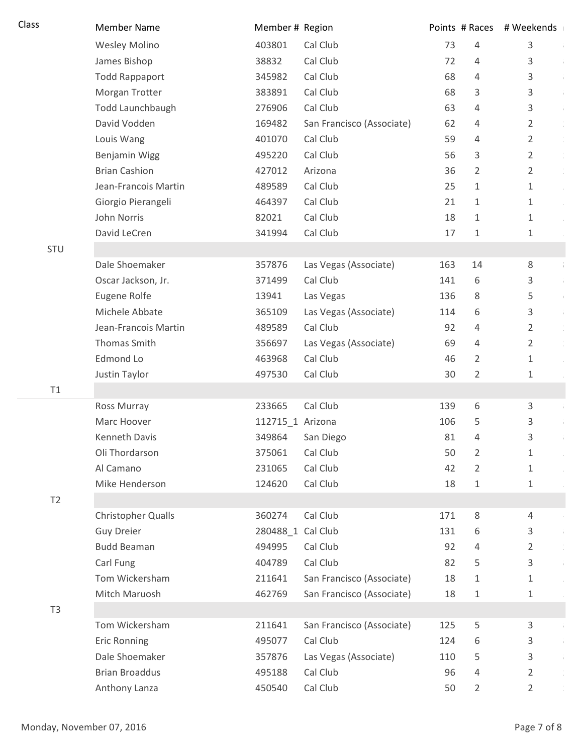| Class          | <b>Member Name</b>    | Member # Region   |                           |     | Points # Races | # Weekends                |
|----------------|-----------------------|-------------------|---------------------------|-----|----------------|---------------------------|
|                | <b>Wesley Molino</b>  | 403801            | Cal Club                  | 73  | 4              | 3<br>÷.                   |
|                | James Bishop          | 38832             | Cal Club                  | 72  | 4              | 3<br>÷,                   |
|                | <b>Todd Rappaport</b> | 345982            | Cal Club                  | 68  | 4              | 3<br>÷,                   |
|                | Morgan Trotter        | 383891            | Cal Club                  | 68  | 3              | 3<br>÷,                   |
|                | Todd Launchbaugh      | 276906            | Cal Club                  | 63  | 4              | 3<br>$\frac{1}{4}$        |
|                | David Vodden          | 169482            | San Francisco (Associate) | 62  | 4              | 2<br>$\frac{1}{2}$        |
|                | Louis Wang            | 401070            | Cal Club                  | 59  | 4              | 2<br>$\frac{1}{2}$        |
|                | <b>Benjamin Wigg</b>  | 495220            | Cal Club                  | 56  | 3              | $\frac{1}{2}$<br>2        |
|                | <b>Brian Cashion</b>  | 427012            | Arizona                   | 36  | 2              | $\frac{1}{\epsilon}$<br>2 |
|                | Jean-Francois Martin  | 489589            | Cal Club                  | 25  | 1              | 1<br>$\ddot{\gamma}$      |
|                | Giorgio Pierangeli    | 464397            | Cal Club                  | 21  | 1              | 1                         |
|                | John Norris           | 82021             | Cal Club                  | 18  | 1              | 1                         |
|                | David LeCren          | 341994            | Cal Club                  | 17  | 1              | 1                         |
| <b>STU</b>     |                       |                   |                           |     |                |                           |
|                | Dale Shoemaker        | 357876            | Las Vegas (Associate)     | 163 | 14             | 8<br>$\frac{1}{4}$        |
|                | Oscar Jackson, Jr.    | 371499            | Cal Club                  | 141 | 6              | 3<br>Ŷ,                   |
|                | Eugene Rolfe          | 13941             | Las Vegas                 | 136 | 8              | 5<br>$\bar{1}$            |
|                | Michele Abbate        | 365109            | Las Vegas (Associate)     | 114 | 6              | 3<br>$\frac{1}{2}$        |
|                | Jean-Francois Martin  | 489589            | Cal Club                  | 92  | 4              | 2<br>$\frac{1}{2}$        |
|                | Thomas Smith          | 356697            | Las Vegas (Associate)     | 69  | 4              | 2                         |
|                | Edmond Lo             | 463968            | Cal Club                  | 46  | 2              | 1                         |
|                | Justin Taylor         | 497530            | Cal Club                  | 30  | $\overline{2}$ | 1                         |
| T1             |                       |                   |                           |     |                |                           |
|                | Ross Murray           | 233665            | Cal Club                  | 139 | 6              | 3<br>÷,                   |
|                | Marc Hoover           | 112715_1 Arizona  |                           | 106 | 5              | 3<br>Ŷ,                   |
|                | Kenneth Davis         | 349864            | San Diego                 | 81  | 4              | 3<br>÷                    |
|                | Oli Thordarson        | 375061            | Cal Club                  | 50  | 2              | 1                         |
|                | Al Camano             | 231065            | Cal Club                  | 42  | 2              | 1                         |
|                | Mike Henderson        | 124620            | Cal Club                  | 18  | 1              | 1                         |
| T2             |                       |                   |                           |     |                |                           |
|                | Christopher Qualls    | 360274            | Cal Club                  | 171 | 8              | 4                         |
|                | <b>Guy Dreier</b>     | 280488_1 Cal Club |                           | 131 | 6              | 3<br>$\frac{1}{4}$        |
|                | <b>Budd Beaman</b>    | 494995            | Cal Club                  | 92  | 4              | $\frac{1}{2}$<br>2        |
|                | Carl Fung             | 404789            | Cal Club                  | 82  | 5              | 3<br>$\frac{1}{4}$        |
|                | Tom Wickersham        | 211641            | San Francisco (Associate) | 18  | 1              | 1                         |
|                | Mitch Maruosh         | 462769            | San Francisco (Associate) | 18  | 1              | 1                         |
| T <sub>3</sub> |                       |                   |                           |     |                |                           |
|                | Tom Wickersham        | 211641            | San Francisco (Associate) | 125 | 5              | 3<br>$\bar{1}$            |
|                | <b>Eric Ronning</b>   | 495077            | Cal Club                  | 124 | 6              | 3<br>÷,                   |
|                | Dale Shoemaker        | 357876            | Las Vegas (Associate)     | 110 | 5              | 3<br>÷,                   |
|                | <b>Brian Broaddus</b> | 495188            | Cal Club                  | 96  | 4              | 2<br>$\frac{1}{2}$        |
|                | Anthony Lanza         | 450540            | Cal Club                  | 50  | 2              | 2                         |